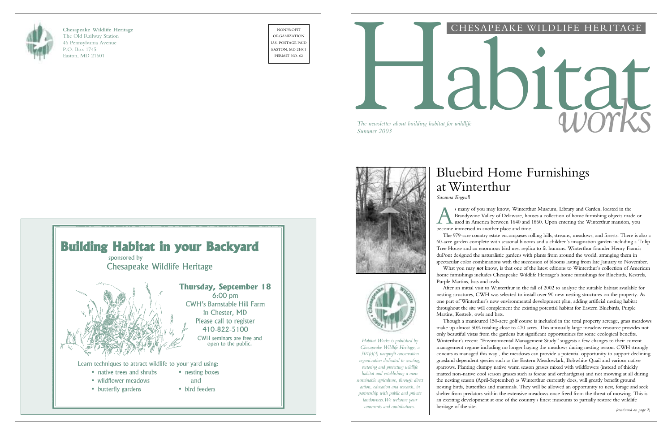

**Chesapeake Wildlife Heritage** The Old Railway Station 46 Pennsylvania Avenue P.O. Box 1745 Easton, MD 21601

NONPROFIT ORGANIZATION U.S. POSTAGE PAID EASTON, MD 21601 PERMIT NO. 62



# CHESAPEAKE WILDLIFE HERITAGE

# *The newsletter about building habitat for wildlife*<br>Summer 2003

*The newsletter about building habitat for wildlife*





# Bluebird Home Furnishings at Winterthur

A s many of you may know, Winterthur Museum, Library and Garden, located in the Brandywine Valley of Delaware, houses a collection of home furnishing objects made or used in America between 1640 and 1860. Upon entering the Winterthur mansion, you become immersed in another place and time.

*Susanna Engvall*

The 979-acre country estate encompasses rolling hills, streams, meadows, and forests. There is also a 60-acre garden complete with seasonal blooms and a children's imagination garden including a Tulip Tree House and an enormous bird nest replica to fit humans. Winterthur founder Henry Francis duPont designed the naturalistic gardens with plants from around the world, arranging them in spectacular color combinations with the succession of blooms lasting from late January to November. What you may *not* know, is that one of the latest editions to Winterthur's collection of American home furnishings includes Chesapeake Wildlife Heritage 's home furnishings for Bluebirds, Kestrels, Purple Martins, bats and owls.

After an initial visit to Winterthur in the fall of 2002 to analyze the suitable habitat available for nesting structures, CWH was selected to install over 90 new nesting structures on the property. As one part of Winterthur 's new environmental development plan, adding artificial nesting habitat throughout the site will complement the existing potential habitat for Eastern Bluebirds, Purple Martins, Kestrels, owls and bats.

Though a manicured 150-acre golf course is included in the total property acreage, grass meadows make up almost 50% totaling close to 470 acres. This unusually large meadow resource provides not only beautiful vistas from the gardens but significant opportunities for some ecological benefits. Winterthur 's recent "Environmental Management Study " suggests a few changes to their current management regime including no longer haying the meadows during nesting season. CWH strongly concurs as managed this way , the meadows can provide a potential opportunity to support declining grassland dependent species such as the Eastern Meadowlark, Bobwhite Quail and various native sparrows. Planting clumpy native warm season grasses mixed with wildflowers (instead of thickly matted non-native cool season grasses such as fescue and orchardgrass) and not mowing at all during the nesting season (April-September) as Winterthur currently does, will greatly benefit ground nesting birds, butterflies and mammals. They will be allowed an opportunity to nest, forage and seek shelter from predators within the extensive meadows once freed from the threat of mowing. This is an exciting development at one of the country 's finest museums to partially restore the wildlife heritage of the site. *(continued on page 2)*

*Habitat Works is published by Chesapeake Wildlife Heritage, a 501(c)(3) nonprofit conservation organization dedicated to creating, restoring and protecting wildlife habitat and establishing a more sustainable agriculture, through direct action, education and research, in partnership with public and private landowners.We welcome your comments and contributions.*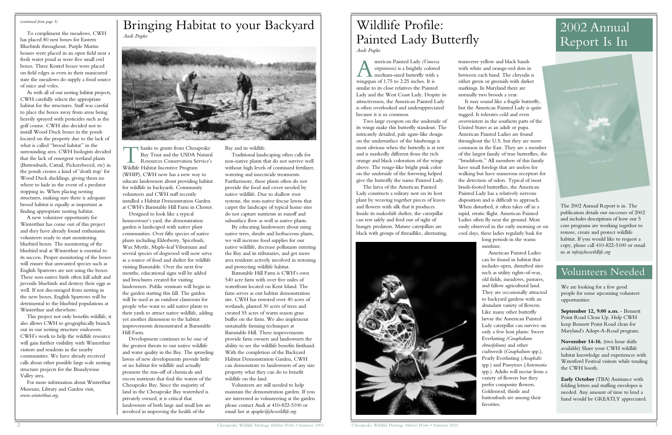Bay and its wildlife.

Traditional landscaping often calls for non-native plants that do not survive well without high levels of continued fertilizer, watering and insecticide treatments. Furthermore, these plants often do not provide the food and cover needed by native wildlife. Due to shallow root systems, the non-native fescue lawns that carpet the landscape of typical home sites do not capture nutrients in runoff and subsurface flow as well as native plants.

By educating landowners about using native trees, shrubs and herbaceous plants, we will increase food supplies for our native wildlife, decrease pollutants entering the Bay and its tributaries, and get more area residents actively involved in restoring and protecting wildlife habitat.

I hanks to grants from Chesa<br>Bay Trust and the USDA I<br>Resources Conservation Se<br>Wildlife Habitat Incentive Program hanks to grants from Chesapeake Bay Trust and the USDA Natural Resources Conservation Service's (WHIP), CWH now has a new way to educate landowners about providing habitat for wildlife in backyards. Community volunteers and CWH staff recently installed a Habitat Demonstration Garden at CWH's Barnstable Hill Farm in Chester.

> Barnstable Hill Farm is CWH's own 540 acre farm with over five miles of waterfront located on Kent Island. The farm serves as our habitat demonstration site. CWH has restored over 40 acres of wetlands, planted 30 acres of trees and created 55 acres of warm season grass buffer on the farm. We also implement sustainable farming techniques at Barnstable Hill. These improvements provide farm owners and landowners the ability to see the wildlife benefits firsthand. With the completion of the Backyard Habitat Demonstration Garden, CWH can demonstrate to landowners of any size property what they can do to benefit wildlife on the land.

> Volunteers are still needed to help maintain the demonstration garden. If you are interested in volunteering at the garden please contact Andi at 410-822-5100 or email her at *apupke@cheswildlife.org.*

Designed to look like a typical homeowner's yard, the demonstration garden is landscaped with native plant communities. Over fifty species of native plants including Elderberry, Spicebush, Wax Myrtle, Maple-leaf Viburnum and several species of dogwood will now serve as a source of food and shelter for wildlife visiting Barnstable. Over the next few months, educational signs will be added and brochures created for visiting landowners. Public seminars will begin in the garden starting this fall. The garden will be used as an outdoor classroom for people who want to add native plants to their yards to attract native wildlife, adding yet another dimension to the habitat improvements demonstrated at Barnstable Hill Farm.

merican Painted Lady (Vanes<br>virginiensis) is a brightly color<br>medium-sized butterfly with<br>wingspan of 1.75 to 2.25 inches. It is merican Painted Lady *(Vanessa virginiensis)* is a brightly colored medium-sized butterfly with a similar to its close relatives the Painted Lady and the West Coast Lady. Despite its attractiveness, the American Painted Lady is often overlooked and underappreciated because it is so common.

Development continues to be one of the greatest threats to our native wildlife and water quality in the Bay. The sprawling lawns of new developments provide little or no habitat for wildlife and actually promote the run-off of chemicals and excess nutrients that foul the waters of the Chesapeake Bay. Since the majority of land in the Chesapeake Bay watershed is privately owned, it is critical that landowners of both large and small lots are involved in improving the health of the

To compliment the meadows, CWH has placed 80 nest boxes for Eastern Bluebirds throughout. Purple Martin houses were placed in an open field near a fresh water pond as were five small owl boxes. Three Kestrel boxes were placed on field edges as even in their manicured state the meadows do supply a food source of mice and voles.

As with all of our nesting habitat projects, CWH carefully selects the appropriate habitat for the structures. Staff was careful to place the boxes away from areas being heavily sprayed with pesticides such as the golf course. CWH also decided not to install Wood Duck boxes in the ponds located on the property due to the lack of what is called "brood habitat" in the surrounding area. CWH biologists decided that the lack of emergent wetland plants (Buttonbush, Cattail, Pickerelweed, etc) in the ponds creates a kind of 'death trap' for Wood Duck ducklings, giving them no where to hide in the event of a predator stopping in. When placing nesting structures, making sure there is adequate brood habitat is equally as important as finding appropriate nesting habitat.

A new volunteer opportunity for Winterthur has come out of this project and they have already found enthusiastic volunteers ready to start monitoring bluebird boxes. The monitoring of the bluebird trail at Winterthur is essential to its success. Proper monitoring of the boxes will ensure that unwanted species such as English Sparrows are not using the boxes. These non-native birds often kill adult and juvenile bluebirds and destroy their eggs as well. If not discouraged from nesting in the new boxes, English Sparrows will be detrimental to the bluebird populations at Winterthur and elsewhere.

This project not only benefits wildlife, it also allows CWH to geographically branch out in our nesting structure endeavors. CWH's work to help the wildlife resource will gain further visibility with Winterthur visitors and residents in the nearby communities. We have already received calls about other possible large scale nesting structure projects for the Brandywine Valley area.

For more information about Winterthur Museum, Library and Garden visit, *www.winterthur.org*.

# Bringing Habitat to your Backyard *Andi Pupke*



Two large eyespots on the underside of its wings make this butterfly standout. The intricately detailed, pale agate-like design on the undersurface of the hindwings is most obvious when the butterfly is at rest and is markedly different from the rich orange and black coloration of the wings above. The rouge-like bright pink color on the underside of the forewing helped give the butterfly the name Painted Lady.

The larva of the American Painted Lady constructs a solitary nest on its host plant by weaving together pieces of leaves and flowers with silk that it produces. Inside its makeshift shelter, the caterpillar can rest safely and feed out of sight of hungry predators. Mature caterpillars are black with groups of threadlike, alternating,



with white and orange-red dots in between each band. The chrysalis is either green or greenish with darker

transverse yellow and black bands markings. In Maryland there are normally two broods a year.

It may sound like a fragile butterfly, but the American Painted Lady is quite rugged. It tolerates cold and even overwinters in the southern parts of the United States as an adult or pupa. American Painted Ladies are found throughout the U.S. but they are more common in the East. They are a member of the largest family of true butterflies, the "brushfoots." All members of this family have small forelegs that are useless for walking but have numerous receptors for the detection of odors. Typical of most brush-footed butterflies, the American Painted Lady has a relatively nervous disposition and is difficult to approach. When disturbed, it often takes off in a rapid, erratic flight. American Painted Ladies often fly near the ground. Most easily observed in the early morning or on cool days, these ladies regularly bask for long periods in the warm sunshine.

American Painted Ladies can be found in habitat that includes open, disturbed sites such as utility rights-of-way, old fields, meadows, pastures, and fallow agricultural land. They are occasionally attracted to backyard gardens with an abundant variety of flowers. Like many other butterfly larvae the American Painted Lady caterpillar can survive on only a few host plants: Sweet Everlasting *(Gnaphalium obtusifolium)* and other cudweeds (*Gnaphalium* spp.), Pearly Everlasting (*Anaphalis* spp.) and Pussytoes (*Antennaria* spp.). Adults will nectar from a variety of flowers but they prefer composite flowers. Goldenrod, thistle and buttonbush are among their favorites.



2 Chesapeake Wildlife Heritage *Habitat Works* • Summer 2003

# Wildlife Profile: Painted Lady Butterfly *Andi Pupke*

# 2002 Annual Report Is In

The 2002 Annual Report is in. The publication details our successes of 2002 and includes descriptions of how our 5 core programs are working together to restore, create and protect wildlife habitat. If you would like to request a copy, please call 410-822-5100 or email us at *info@cheswildlife.org*

# Volunteers Needed

We are looking for a few good people for some upcoming volunteer opportunities:

**September 12, 9:00 a.m.** - Bennett Point Road Clean Up. Help CWH keep Bennett Point Road clean for Maryland's Adopt-A-Road program.

**November 14-16**, (two hour shifts available) Share your CWH wildlife habitat knowledge and experiences with Waterfowl Festival visitors while tending the CWH booth.

**Early October** (TBA) Assistance with folding letters and stuffing envelopes is needed. Any amount of time to lend a hand would be GREATLY appreciated.

### *(continued from page 1)*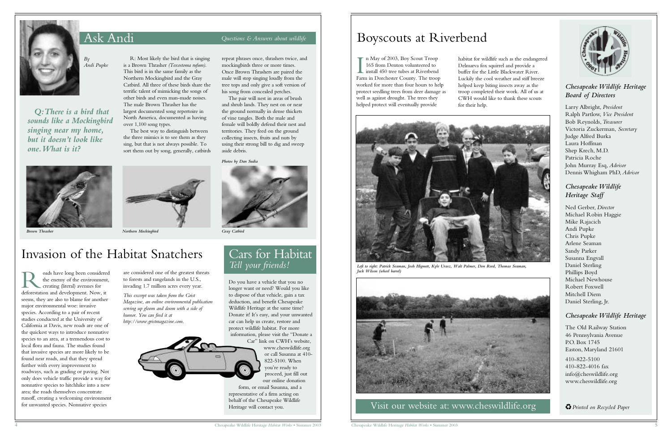Ask Andi *Questions & Answers about wildlife*



*By Andi Pupke*

*Q:There is a bird that sounds like a Mockingbird singing near my home, but it doesn't look like one.What is it?*



is a Brown Thrasher *(Toxostoma rufum)*. This bird is in the same family as the Northern Mockingbird and the Gray

terrific talent of mimicking the songs of other birds and even man-made noises. The male Brown Thrasher has the largest documented song repertoire in North America, documented as having

over 1,100 song types.

R: Most likely the bird that is singing Catbird. All three of these birds share the repeat phrases once, thrashers twice, and mockingbirds three or more times. Once Brown Thrashers are paired the male will stop singing loudly from the tree tops and only give a soft version of his song from concealed perches.

The best way to distinguish between the three mimics is to see them as they sing, but that is not always possible. To

sort them out by song, generally, catbirds

 $\prod_{F \nmid \mathbf{r} \in \mathbb{R}^n}$ n May of 2003, Boy Scout Troop 165 from Denton volunteered to install 450 tree tubes at Riverbend Farm in Dorchester County. The troop worked for more than four hours to help protect seedling trees from deer damage as well as against drought. The trees they helped protect will eventually provide

The pair will nest in areas of brush and shrub lands. They nest on or near the ground normally in dense thickets of vine tangles. Both the male and female will boldly defend their nest and territories. They feed on the ground collecting insects, fruits and nuts by using their strong bill to dig and sweep aside debris.





# *Chesapeake Wildlife Heritage Board of Directors*

Larry Albright, *President* Ralph Partlow, *Vice President* Bob Reynolds,*Treasurer* Victoria Zuckerman, *Secretary* Judge Alfred Burka Laura Hoffman Shep Krech, M.D. Patricia Roche John Murray Esq, *Advisor* Dennis Whigham PhD, *Advisor*

# *Chesapeake Wildlife Heritage Staff*

Ned Gerber, *Director* Michael Robin Haggie Mike Rajacich Andi Pupke Chris Pupke Arlene Seaman Sandy Parker Susanna Engvall Daniel Sterling Phillips Boyd Michael Newhouse Robert Foxwell Mitchell Diem Daniel Sterling, Jr.

**R** cads have long been considered the enemy of the environment creating (literal) avenues for deforestation and development. Now, it oads have long been considered the enemy of the environment, creating (literal) avenues for seems, they are also to blame for another major environmental woe: invasive species. According to a pair of recent studies conducted at the University of California at Davis, new roads are one of the quickest ways to introduce nonnative species to an area, at a tremendous cost to local flora and fauna. The studies found that invasive species are more likely to be found near roads, and that they spread further with every improvement to roadways, such as grading or paving. Not only does vehicle traffic provide a way for nonnative species to hitchhike into a new area; the roads themselves concentrate runoff, creating a welcoming environment for unwanted species. Nonnative species

# *Chesapeake Wildlife Heritage*

The Old Railway Station 46 Pennsylvania Avenue P.O. Box 1745 Easton, Maryland 21601

410-822-5100 410-822-4016 fax info@cheswildlife.org www.cheswildlife.org



*Left to right: Patrick Seaman, Josh Hignutt, Kyle Urasz, Walt Palmer, Don Reed, Thomas Seaman, Jack Wilson (wheel barrel)*



Visit our website at: www.cheswildlife.org **CP** Printed on Recycled Paper

habitat for wildlife such as the endangered Delmarva fox squirrel and provide a buffer for the Little Blackwater River. Luckily the cool weather and stiff breeze helped keep biting insects away as the troop completed their work. All of us at CWH would like to thank these scouts for their help.

Cars for Habitat *Tell your friends!*

Do you have a vehicle that you no longer want or need? Would you like to dispose of that vehicle, gain a tax deduction, and benefit Chesapeake Wildlife Heritage at the same time? Donate it! It's easy, and your unwanted car can help us create, restore and protect wildlife habitat. For more information, please visit the "Donate a

> Car" link on CWH's website, www.cheswildlife.org or call Susanna at 410- 822-5100. When you're ready to proceed, just fill out our online donation

form, or email Susanna, and a representative of a firm acting on behalf of the Chesapeake Wildlife Heritage will contact you.

are considered one of the greatest threats to forests and rangelands in the U.S., invading 1.7 million acres every year.

*This excerpt was taken from the Grist Magazine, an online environmental publication serving up gloom and doom with a side of humor. You can find it at http://www.gristmagazine.com.*



# Invasion of the Habitat Snatchers

*Brown Thrasher Northern Mockingbird Gray Catbird*

*Photos by Dan Sudia*